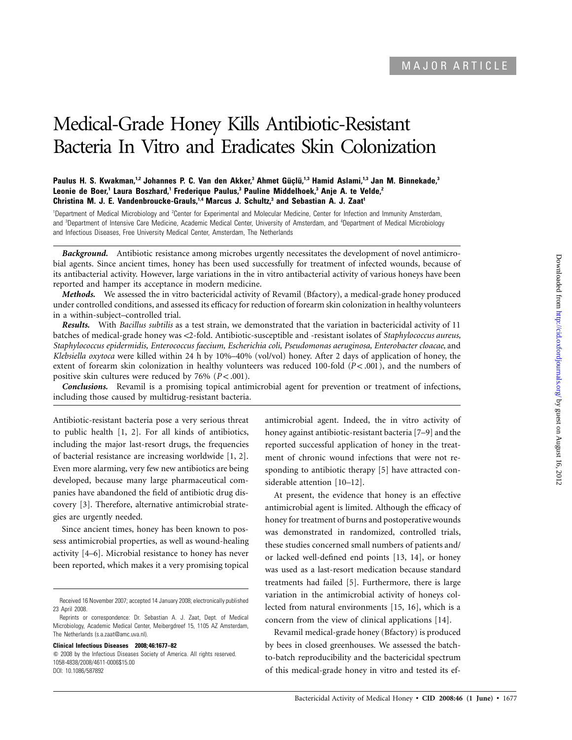# Medical-Grade Honey Kills Antibiotic-Resistant Bacteria In Vitro and Eradicates Skin Colonization

## Paulus H. S. Kwakman,<sup>1,2</sup> Johannes P. C. Van den Akker,<sup>3</sup> Ahmet Güçlü,<sup>1,3</sup> Hamid Aslami,<sup>1,3</sup> Jan M. Binnekade,<sup>3</sup> Leonie de Boer,<sup>1</sup> Laura Boszhard,<sup>1</sup> Frederique Paulus,<sup>3</sup> Pauline Middelhoek,<sup>3</sup> Anje A. te Velde,<sup>2</sup> **Christina M. J. E. Vandenbroucke-Grauls,<sup>1,4</sup> Marcus J. Schultz,<sup>3</sup> and Sebastian A. J. Zaat<sup>1</sup>**

<sup>1</sup>Department of Medical Microbiology and <sup>2</sup>Center for Experimental and Molecular Medicine, Center for Infection and Immunity Amsterdam, and <sup>3</sup>Department of Intensive Care Medicine, Academic Medical Center, University of Amsterdam, and <sup>4</sup>Department of Medical Microbiology and Infectious Diseases, Free University Medical Center, Amsterdam, The Netherlands

*Background.* Antibiotic resistance among microbes urgently necessitates the development of novel antimicrobial agents. Since ancient times, honey has been used successfully for treatment of infected wounds, because of its antibacterial activity. However, large variations in the in vitro antibacterial activity of various honeys have been reported and hamper its acceptance in modern medicine.

*Methods.* We assessed the in vitro bactericidal activity of Revamil (Bfactory), a medical-grade honey produced under controlled conditions, and assessed its efficacy for reduction of forearm skin colonization in healthy volunteers in a within-subject–controlled trial.

*Results.* With *Bacillus subtilis* as a test strain, we demonstrated that the variation in bactericidal activity of 11 batches of medical-grade honey was !2-fold. Antibiotic-susceptible and -resistant isolates of *Staphylococcus aureus, Staphylococcus epidermidis, Enterococcus faecium, Escherichia coli, Pseudomonas aeruginosa, Enterobacter cloacae,* and *Klebsiella oxytoca* were killed within 24 h by 10%–40% (vol/vol) honey. After 2 days of application of honey, the extent of forearm skin colonization in healthy volunteers was reduced 100-fold ( $P < .001$ ), and the numbers of positive skin cultures were reduced by  $76\%$   $(P < .001)$ .

*Conclusions.* Revamil is a promising topical antimicrobial agent for prevention or treatment of infections, including those caused by multidrug-resistant bacteria.

Antibiotic-resistant bacteria pose a very serious threat to public health [1, 2]. For all kinds of antibiotics, including the major last-resort drugs, the frequencies of bacterial resistance are increasing worldwide [1, 2]. Even more alarming, very few new antibiotics are being developed, because many large pharmaceutical companies have abandoned the field of antibiotic drug discovery [3]. Therefore, alternative antimicrobial strategies are urgently needed.

Since ancient times, honey has been known to possess antimicrobial properties, as well as wound-healing activity [4–6]. Microbial resistance to honey has never been reported, which makes it a very promising topical

**Clinical Infectious Diseases 2008; 46:1677–82**

 $\degree$  2008 by the Infectious Diseases Society of America. All rights reserved. 1058-4838/2008/4611-0006\$15.00 DOI: 10.1086/587892

antimicrobial agent. Indeed, the in vitro activity of honey against antibiotic-resistant bacteria [7–9] and the reported successful application of honey in the treatment of chronic wound infections that were not responding to antibiotic therapy [5] have attracted considerable attention [10–12].

At present, the evidence that honey is an effective antimicrobial agent is limited. Although the efficacy of honey for treatment of burns and postoperative wounds was demonstrated in randomized, controlled trials, these studies concerned small numbers of patients and/ or lacked well-defined end points [13, 14], or honey was used as a last-resort medication because standard treatments had failed [5]. Furthermore, there is large variation in the antimicrobial activity of honeys collected from natural environments [15, 16], which is a concern from the view of clinical applications [14].

Revamil medical-grade honey (Bfactory) is produced by bees in closed greenhouses. We assessed the batchto-batch reproducibility and the bactericidal spectrum of this medical-grade honey in vitro and tested its ef-

Received 16 November 2007; accepted 14 January 2008; electronically published 23 April 2008.

Reprints or correspondence: Dr. Sebastian A. J. Zaat, Dept. of Medical Microbiology, Academic Medical Center, Meibergdreef 15, 1105 AZ Amsterdam, The Netherlands (s.a.zaat@amc.uva.nl).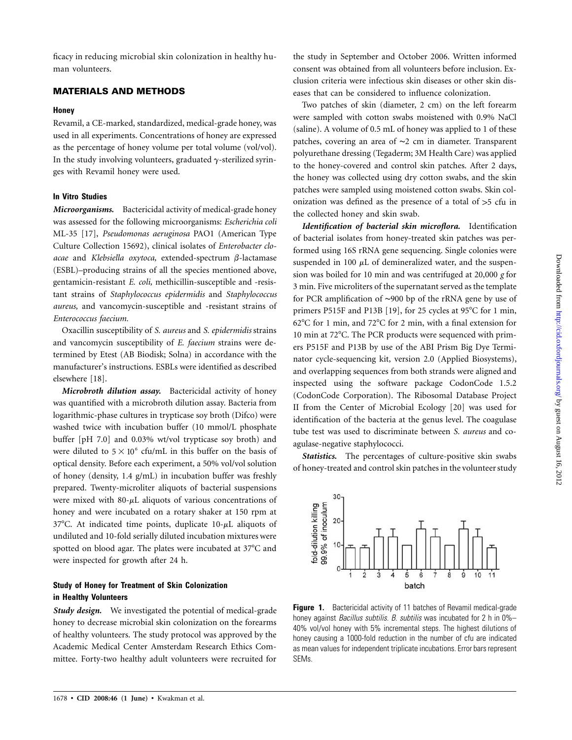ficacy in reducing microbial skin colonization in healthy human volunteers.

# **MATERIALS AND METHODS**

#### **Honey**

Revamil, a CE-marked, standardized, medical-grade honey, was used in all experiments. Concentrations of honey are expressed as the percentage of honey volume per total volume (vol/vol). In the study involving volunteers, graduated  $\gamma$ -sterilized syringes with Revamil honey were used.

## **In Vitro Studies**

*Microorganisms.* Bactericidal activity of medical-grade honey was assessed for the following microorganisms: *Escherichia coli* ML-35 [17], *Pseudomonas aeruginosa* PAO1 (American Type Culture Collection 15692), clinical isolates of *Enterobacter clo*acae and *Klebsiella oxytoca*, extended-spectrum  $\beta$ -lactamase (ESBL)–producing strains of all the species mentioned above, gentamicin-resistant *E. coli,* methicillin-susceptible and -resistant strains of *Staphylococcus epidermidis* and *Staphylococcus aureus,* and vancomycin-susceptible and -resistant strains of *Enterococcus faecium.*

Oxacillin susceptibility of *S. aureus* and *S. epidermidis* strains and vancomycin susceptibility of *E. faecium* strains were determined by Etest (AB Biodisk; Solna) in accordance with the manufacturer's instructions. ESBLs were identified as described elsewhere [18].

*Microbroth dilution assay.* Bactericidal activity of honey was quantified with a microbroth dilution assay. Bacteria from logarithmic-phase cultures in trypticase soy broth (Difco) were washed twice with incubation buffer (10 mmol/L phosphate buffer [pH 7.0] and 0.03% wt/vol trypticase soy broth) and were diluted to  $5 \times 10^6$  cfu/mL in this buffer on the basis of optical density. Before each experiment, a 50% vol/vol solution of honey (density, 1.4 g/mL) in incubation buffer was freshly prepared. Twenty-microliter aliquots of bacterial suspensions were mixed with  $80-\mu L$  aliquots of various concentrations of honey and were incubated on a rotary shaker at 150 rpm at 37°C. At indicated time points, duplicate  $10-\mu$ L aliquots of undiluted and 10-fold serially diluted incubation mixtures were spotted on blood agar. The plates were incubated at 37°C and were inspected for growth after 24 h.

# **Study of Honey for Treatment of Skin Colonization in Healthy Volunteers**

*Study design.* We investigated the potential of medical-grade honey to decrease microbial skin colonization on the forearms of healthy volunteers. The study protocol was approved by the Academic Medical Center Amsterdam Research Ethics Committee. Forty-two healthy adult volunteers were recruited for

the study in September and October 2006. Written informed consent was obtained from all volunteers before inclusion. Exclusion criteria were infectious skin diseases or other skin diseases that can be considered to influence colonization.

Two patches of skin (diameter, 2 cm) on the left forearm were sampled with cotton swabs moistened with 0.9% NaCl (saline). A volume of 0.5 mL of honey was applied to 1 of these patches, covering an area of ∼2 cm in diameter. Transparent polyurethane dressing (Tegaderm; 3M Health Care) was applied to the honey-covered and control skin patches. After 2 days, the honey was collected using dry cotton swabs, and the skin patches were sampled using moistened cotton swabs. Skin colonization was defined as the presence of a total of  $>5$  cfu in the collected honey and skin swab.

*Identification of bacterial skin microflora.* Identification of bacterial isolates from honey-treated skin patches was performed using 16S rRNA gene sequencing. Single colonies were suspended in 100  $\mu$ L of demineralized water, and the suspension was boiled for 10 min and was centrifuged at 20,000 *g* for 3 min. Five microliters of the supernatant served as the template for PCR amplification of ∼900 bp of the rRNA gene by use of primers P515F and P13B [19], for 25 cycles at 95°C for 1 min,  $62^{\circ}$ C for 1 min, and 72 $^{\circ}$ C for 2 min, with a final extension for 10 min at 72°C. The PCR products were sequenced with primers P515F and P13B by use of the ABI Prism Big Dye Terminator cycle-sequencing kit, version 2.0 (Applied Biosystems), and overlapping sequences from both strands were aligned and inspected using the software package CodonCode 1.5.2 (CodonCode Corporation). The Ribosomal Database Project II from the Center of Microbial Ecology [20] was used for identification of the bacteria at the genus level. The coagulase tube test was used to discriminate between *S. aureus* and coagulase-negative staphylococci.

*Statistics.* The percentages of culture-positive skin swabs of honey-treated and control skin patches in the volunteer study

**Figure 1.** Bactericidal activity of 11 batches of Revamil medical-grade honey against *Bacillus subtilis. B. subtilis* was incubated for 2 h in 0%– 40% vol/vol honey with 5% incremental steps. The highest dilutions of honey causing a 1000-fold reduction in the number of cfu are indicated as mean values for independent triplicate incubations. Error bars represent SEMs.



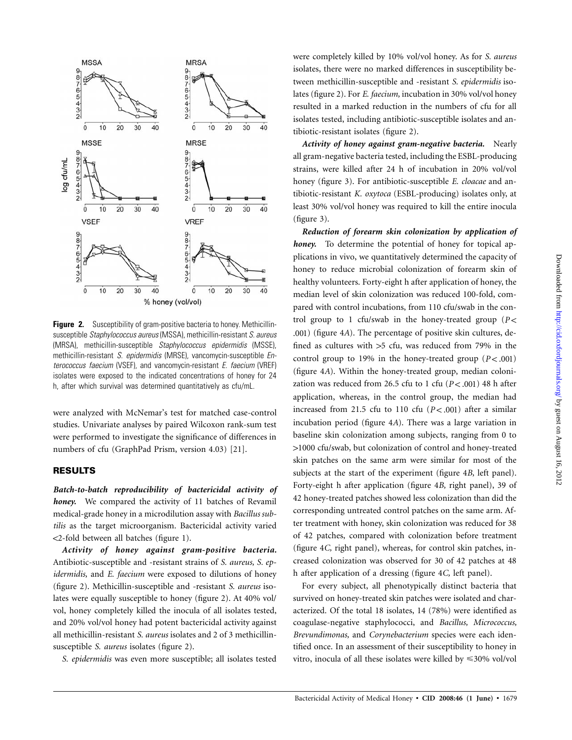

**Figure 2.** Susceptibility of gram-positive bacteria to honey. Methicillinsusceptible *Staphylococcus aureus* (MSSA), methicillin-resistant *S. aureus* (MRSA), methicillin-susceptible *Staphylococcus epidermidis* (MSSE), methicillin-resistant *S. epidermidis* (MRSE), vancomycin-susceptible *Enterococcus faecium* (VSEF), and vancomycin-resistant *E. faecium* (VREF) isolates were exposed to the indicated concentrations of honey for 24 h, after which survival was determined quantitatively as cfu/mL.

were analyzed with McNemar's test for matched case-control studies. Univariate analyses by paired Wilcoxon rank-sum test were performed to investigate the significance of differences in numbers of cfu (GraphPad Prism, version 4.03) [21].

## **RESULTS**

*Batch-to-batch reproducibility of bactericidal activity of honey.* We compared the activity of 11 batches of Revamil medical-grade honey in a microdilution assay with *Bacillus subtilis* as the target microorganism. Bactericidal activity varied !2-fold between all batches (figure 1).

*Activity of honey against gram-positive bacteria.* Antibiotic-susceptible and -resistant strains of *S. aureus, S. epidermidis,* and *E. faecium* were exposed to dilutions of honey (figure 2). Methicillin-susceptible and -resistant *S. aureus* isolates were equally susceptible to honey (figure 2). At 40% vol/ vol, honey completely killed the inocula of all isolates tested, and 20% vol/vol honey had potent bactericidal activity against all methicillin-resistant *S. aureus* isolates and 2 of 3 methicillinsusceptible *S. aureus* isolates (figure 2).

*S. epidermidis* was even more susceptible; all isolates tested

were completely killed by 10% vol/vol honey. As for *S. aureus* isolates, there were no marked differences in susceptibility between methicillin-susceptible and -resistant *S. epidermidis* isolates (figure 2). For *E. faecium,* incubation in 30% vol/vol honey resulted in a marked reduction in the numbers of cfu for all isolates tested, including antibiotic-susceptible isolates and antibiotic-resistant isolates (figure 2).

*Activity of honey against gram-negative bacteria.* Nearly all gram-negative bacteria tested, including the ESBL-producing strains, were killed after 24 h of incubation in 20% vol/vol honey (figure 3). For antibiotic-susceptible *E. cloacae* and antibiotic-resistant *K. oxytoca* (ESBL-producing) isolates only, at least 30% vol/vol honey was required to kill the entire inocula (figure 3).

*Reduction of forearm skin colonization by application of honey.* To determine the potential of honey for topical applications in vivo, we quantitatively determined the capacity of honey to reduce microbial colonization of forearm skin of healthy volunteers. Forty-eight h after application of honey, the median level of skin colonization was reduced 100-fold, compared with control incubations, from 110 cfu/swab in the control group to 1 cfu/swab in the honey-treated group  $(P \leq$ .001) (figure 4*A*). The percentage of positive skin cultures, defined as cultures with  $>5$  cfu, was reduced from 79% in the control group to 19% in the honey-treated group  $(P < .001)$ (figure 4*A*). Within the honey-treated group, median colonization was reduced from 26.5 cfu to 1 cfu  $(P < .001)$  48 h after application, whereas, in the control group, the median had increased from 21.5 cfu to 110 cfu  $(P < .001)$  after a similar incubation period (figure 4*A*). There was a large variation in baseline skin colonization among subjects, ranging from 0 to 11000 cfu/swab, but colonization of control and honey-treated skin patches on the same arm were similar for most of the subjects at the start of the experiment (figure 4*B,* left panel). Forty-eight h after application (figure 4*B,* right panel), 39 of 42 honey-treated patches showed less colonization than did the corresponding untreated control patches on the same arm. After treatment with honey, skin colonization was reduced for 38 of 42 patches, compared with colonization before treatment (figure 4*C,* right panel), whereas, for control skin patches, increased colonization was observed for 30 of 42 patches at 48 h after application of a dressing (figure 4*C,* left panel).

For every subject, all phenotypically distinct bacteria that survived on honey-treated skin patches were isolated and characterized. Of the total 18 isolates, 14 (78%) were identified as coagulase-negative staphylococci, and *Bacillus, Micrococcus, Brevundimonas,* and *Corynebacterium* species were each identified once. In an assessment of their susceptibility to honey in vitro, inocula of all these isolates were killed by  $\leq 30\%$  vol/vol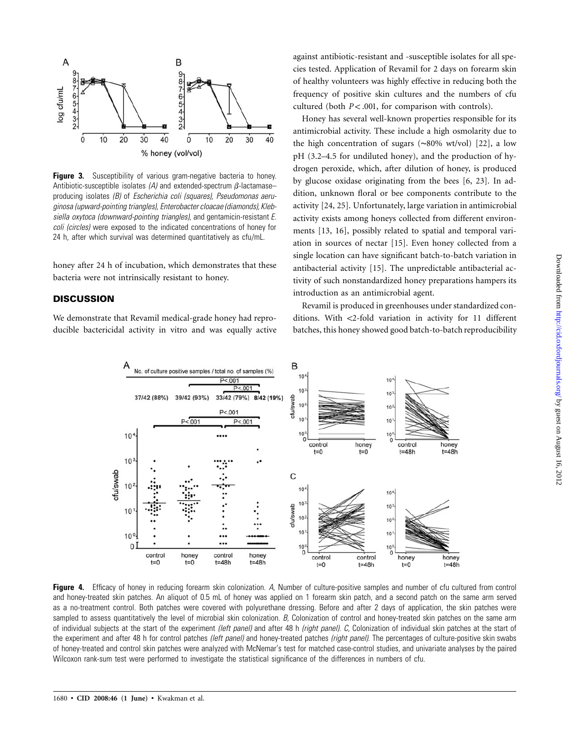

**Figure 3.** Susceptibility of various gram-negative bacteria to honey. Antibiotic-susceptible isolates  $(A)$  and extended-spectrum  $\beta$ -lactamaseproducing isolates *(B)* of *Escherichia coli (squares), Pseudomonas aeruginosa (upward-pointing triangles), Enterobacter cloacae (diamonds), Klebsiella oxytoca (downward-pointing triangles),* and gentamicin-resistant *E. coli (circles)* were exposed to the indicated concentrations of honey for 24 h, after which survival was determined quantitatively as cfu/mL.

honey after 24 h of incubation, which demonstrates that these bacteria were not intrinsically resistant to honey.

## **DISCUSSION**

We demonstrate that Revamil medical-grade honey had reproducible bactericidal activity in vitro and was equally active against antibiotic-resistant and -susceptible isolates for all species tested. Application of Revamil for 2 days on forearm skin of healthy volunteers was highly effective in reducing both the frequency of positive skin cultures and the numbers of cfu cultured (both  $P < .001$ , for comparison with controls).

Honey has several well-known properties responsible for its antimicrobial activity. These include a high osmolarity due to the high concentration of sugars (∼80% wt/vol) [22], a low pH (3.2–4.5 for undiluted honey), and the production of hydrogen peroxide, which, after dilution of honey, is produced by glucose oxidase originating from the bees [6, 23]. In addition, unknown floral or bee components contribute to the activity [24, 25]. Unfortunately, large variation in antimicrobial activity exists among honeys collected from different environments [13, 16], possibly related to spatial and temporal variation in sources of nectar [15]. Even honey collected from a single location can have significant batch-to-batch variation in antibacterial activity [15]. The unpredictable antibacterial activity of such nonstandardized honey preparations hampers its introduction as an antimicrobial agent.

Revamil is produced in greenhouses under standardized conditions. With <2-fold variation in activity for 11 different batches, this honey showed good batch-to-batch reproducibility



**Figure 4.** Efficacy of honey in reducing forearm skin colonization. *A,* Number of culture-positive samples and number of cfu cultured from control and honey-treated skin patches. An aliquot of 0.5 mL of honey was applied on 1 forearm skin patch, and a second patch on the same arm served as a no-treatment control. Both patches were covered with polyurethane dressing. Before and after 2 days of application, the skin patches were sampled to assess quantitatively the level of microbial skin colonization. *B*, Colonization of control and honey-treated skin patches on the same arm of individual subjects at the start of the experiment *(left panel)* and after 48 h *(right panel). C,* Colonization of individual skin patches at the start of the experiment and after 48 h for control patches *(left panel)* and honey-treated patches *(right panel).* The percentages of culture-positive skin swabs of honey-treated and control skin patches were analyzed with McNemar's test for matched case-control studies, and univariate analyses by the paired Wilcoxon rank-sum test were performed to investigate the statistical significance of the differences in numbers of cfu.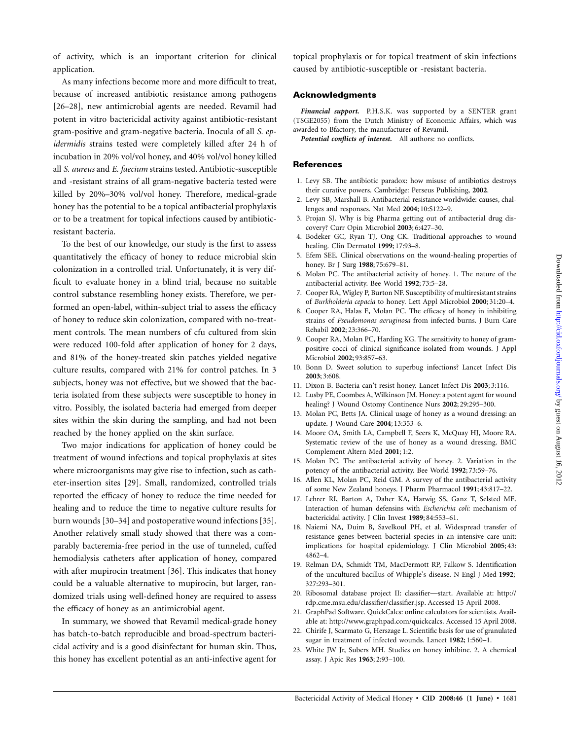of activity, which is an important criterion for clinical application.

As many infections become more and more difficult to treat, because of increased antibiotic resistance among pathogens [26–28], new antimicrobial agents are needed. Revamil had potent in vitro bactericidal activity against antibiotic-resistant gram-positive and gram-negative bacteria. Inocula of all *S. epidermidis* strains tested were completely killed after 24 h of incubation in 20% vol/vol honey, and 40% vol/vol honey killed all *S. aureus* and *E. faecium* strains tested. Antibiotic-susceptible and -resistant strains of all gram-negative bacteria tested were killed by 20%–30% vol/vol honey. Therefore, medical-grade honey has the potential to be a topical antibacterial prophylaxis or to be a treatment for topical infections caused by antibioticresistant bacteria.

To the best of our knowledge, our study is the first to assess quantitatively the efficacy of honey to reduce microbial skin colonization in a controlled trial. Unfortunately, it is very difficult to evaluate honey in a blind trial, because no suitable control substance resembling honey exists. Therefore, we performed an open-label, within-subject trial to assess the efficacy of honey to reduce skin colonization, compared with no-treatment controls. The mean numbers of cfu cultured from skin were reduced 100-fold after application of honey for 2 days, and 81% of the honey-treated skin patches yielded negative culture results, compared with 21% for control patches. In 3 subjects, honey was not effective, but we showed that the bacteria isolated from these subjects were susceptible to honey in vitro. Possibly, the isolated bacteria had emerged from deeper sites within the skin during the sampling, and had not been reached by the honey applied on the skin surface.

Two major indications for application of honey could be treatment of wound infections and topical prophylaxis at sites where microorganisms may give rise to infection, such as catheter-insertion sites [29]. Small, randomized, controlled trials reported the efficacy of honey to reduce the time needed for healing and to reduce the time to negative culture results for burn wounds [30–34] and postoperative wound infections [35]. Another relatively small study showed that there was a comparably bacteremia-free period in the use of tunneled, cuffed hemodialysis catheters after application of honey, compared with after mupirocin treatment [36]. This indicates that honey could be a valuable alternative to mupirocin, but larger, randomized trials using well-defined honey are required to assess the efficacy of honey as an antimicrobial agent.

In summary, we showed that Revamil medical-grade honey has batch-to-batch reproducible and broad-spectrum bactericidal activity and is a good disinfectant for human skin. Thus, this honey has excellent potential as an anti-infective agent for topical prophylaxis or for topical treatment of skin infections caused by antibiotic-susceptible or -resistant bacteria.

#### **Acknowledgments**

*Financial support.* P.H.S.K. was supported by a SENTER grant (TSGE2055) from the Dutch Ministry of Economic Affairs, which was awarded to Bfactory, the manufacturer of Revamil.

*Potential conflicts of interest.* All authors: no conflicts.

#### **References**

- 1. Levy SB. The antibiotic paradox: how misuse of antibiotics destroys their curative powers. Cambridge: Perseus Publishing, **2002**.
- 2. Levy SB, Marshall B. Antibacterial resistance worldwide: causes, challenges and responses. Nat Med **2004**; 10:S122–9.
- 3. Projan SJ. Why is big Pharma getting out of antibacterial drug discovery? Curr Opin Microbiol **2003**; 6:427–30.
- 4. Bodeker GC, Ryan TJ, Ong CK. Traditional approaches to wound healing. Clin Dermatol **1999**; 17:93–8.
- 5. Efem SEE. Clinical observations on the wound-healing properties of honey. Br J Surg **1988**; 75:679–81.
- 6. Molan PC. The antibacterial activity of honey. 1. The nature of the antibacterial activity. Bee World **1992**; 73:5–28.
- 7. Cooper RA, Wigley P, Burton NF. Susceptibility of multiresistant strains of *Burkholderia cepacia* to honey. Lett Appl Microbiol **2000**; 31:20–4.
- 8. Cooper RA, Halas E, Molan PC. The efficacy of honey in inhibiting strains of *Pseudomonas aeruginosa* from infected burns. J Burn Care Rehabil **2002**; 23:366–70.
- 9. Cooper RA, Molan PC, Harding KG. The sensitivity to honey of grampositive cocci of clinical significance isolated from wounds. J Appl Microbiol **2002**; 93:857–63.
- 10. Bonn D. Sweet solution to superbug infections? Lancet Infect Dis **2003**; 3:608.
- 11. Dixon B. Bacteria can't resist honey. Lancet Infect Dis **2003**; 3:116.
- 12. Lusby PE, Coombes A, Wilkinson JM. Honey: a potent agent for wound healing? J Wound Ostomy Continence Nurs **2002**; 29:295–300.
- 13. Molan PC, Betts JA. Clinical usage of honey as a wound dressing: an update. J Wound Care **2004**; 13:353–6.
- 14. Moore OA, Smith LA, Campbell F, Seers K, McQuay HJ, Moore RA. Systematic review of the use of honey as a wound dressing. BMC Complement Altern Med **2001**; 1:2.
- 15. Molan PC. The antibacterial activity of honey. 2. Variation in the potency of the antibacterial activity. Bee World **1992**; 73:59–76.
- 16. Allen KL, Molan PC, Reid GM. A survey of the antibacterial activity of some New Zealand honeys. J Pharm Pharmacol **1991**; 43:817–22.
- 17. Lehrer RI, Barton A, Daher KA, Harwig SS, Ganz T, Selsted ME. Interaction of human defensins with *Escherichia coli:* mechanism of bactericidal activity. J Clin Invest **1989**; 84:553–61.
- 18. Naiemi NA, Duim B, Savelkoul PH, et al. Widespread transfer of resistance genes between bacterial species in an intensive care unit: implications for hospital epidemiology. J Clin Microbiol **2005**; 43: 4862–4.
- 19. Relman DA, Schmidt TM, MacDermott RP, Falkow S. Identification of the uncultured bacillus of Whipple's disease. N Engl J Med **1992**; 327:293–301.
- 20. Ribosomal database project II: classifier—start. Available at: http:// rdp.cme.msu.edu/classifier/classifier.jsp. Accessed 15 April 2008.
- 21. GraphPad Software. QuickCalcs: online calculators for scientists. Available at: http://www.graphpad.com/quickcalcs. Accessed 15 April 2008.
- 22. Chirife J, Scarmato G, Herszage L. Scientific basis for use of granulated sugar in treatment of infected wounds. Lancet **1982**; 1:560–1.
- 23. White JW Jr, Subers MH. Studies on honey inhibine. 2. A chemical assay. J Apic Res **1963**; 2:93–100.